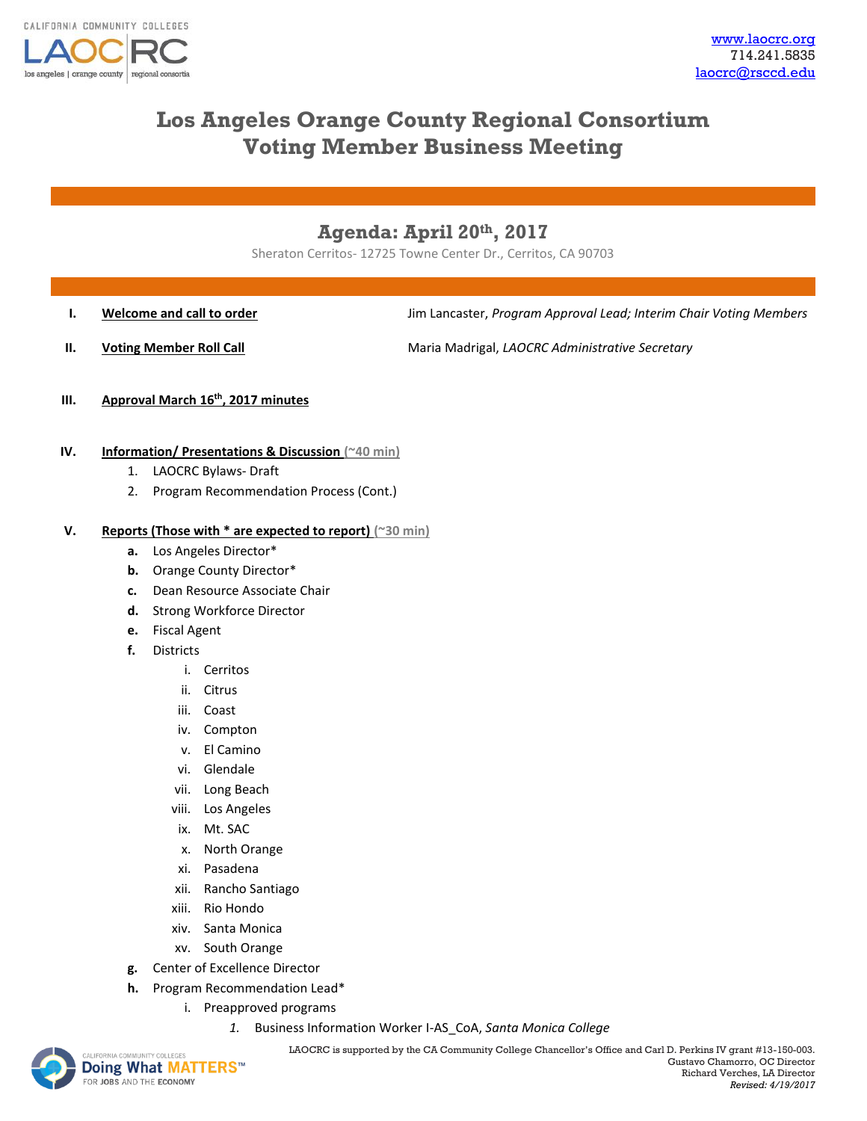

# **Los Angeles Orange County Regional Consortium Voting Member Business Meeting**

## **Agenda: April 20th, 2017**

Sheraton Cerritos- 12725 Towne Center Dr., Cerritos, CA 90703

**I. Welcome and call to order Jum Lancaster,** *Program Approval Lead; Interim Chair Voting Members* 

**II. Voting Member Roll Call** Maria Madrigal, *LAOCRC Administrative Secretary* 

- **III. Approval March 16th, 2017 minutes**
- **IV. Information/ Presentations & Discussion (~40 min)**
	- 1. LAOCRC Bylaws- Draft
	- 2. Program Recommendation Process (Cont.)

#### **V. Reports (Those with \* are expected to report) (~30 min)**

- **a.** Los Angeles Director\*
- **b.** Orange County Director\*
- **c.** Dean Resource Associate Chair
- **d.** Strong Workforce Director
- **e.** Fiscal Agent
- **f.** Districts
	- i. Cerritos
	- ii. Citrus
	- iii. Coast
	- iv. Compton
	- v. El Camino
	- vi. Glendale
	- vii. Long Beach
	- viii. Los Angeles
	- ix. Mt. SAC
	- x. North Orange
	- xi. Pasadena
	- xii. Rancho Santiago
	- xiii. Rio Hondo
	- xiv. Santa Monica
	- xv. South Orange
- **g.** Center of Excellence Director
- **h.** Program Recommendation Lead\*
	- i. Preapproved programs
		- *1.* Business Information Worker I-AS\_CoA, *Santa Monica College*